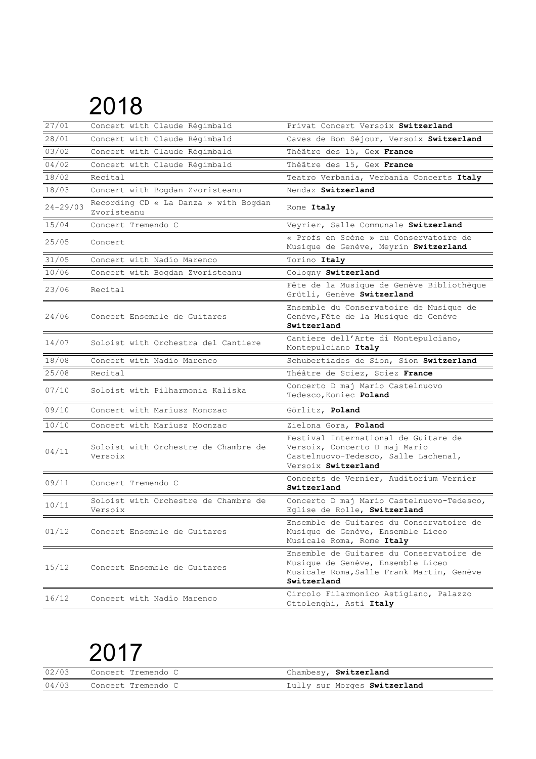| 27/01        | Concert with Claude Régimbald                        | Privat Concert Versoix Switzerland                                                                                                        |
|--------------|------------------------------------------------------|-------------------------------------------------------------------------------------------------------------------------------------------|
| 28/01        | Concert with Claude Régimbald                        | Caves de Bon Séjour, Versoix Switzerland                                                                                                  |
| 03/02        | Concert with Claude Régimbald                        | Théâtre des 15, Gex France                                                                                                                |
| 04/02        | Concert with Claude Régimbald                        | Théâtre des 15, Gex France                                                                                                                |
| 18/02        | Recital                                              | Teatro Verbania, Verbania Concerts Italy                                                                                                  |
| 18/03        | Concert with Bogdan Zvoristeanu                      | Nendaz Switzerland                                                                                                                        |
| $24 - 29/03$ | Recording CD « La Danza » with Bogdan<br>Zvoristeanu | Rome Italy                                                                                                                                |
| 15/04        | Concert Tremendo C                                   | Veyrier, Salle Communale Switzerland                                                                                                      |
| 25/05        | Concert                                              | « Profs en Scène » du Conservatoire de<br>Musique de Genève, Meyrin Switzerland                                                           |
| 31/05        | Concert with Nadio Marenco                           | Torino Italy                                                                                                                              |
| 10/06        | Concert with Bogdan Zvoristeanu                      | Cologny Switzerland                                                                                                                       |
| 23/06        | Recital                                              | Fête de la Musique de Genève Bibliothèque<br>Grütli, Genève Switzerland                                                                   |
| 24/06        | Concert Ensemble de Guitares                         | Ensemble du Conservatoire de Musique de<br>Genève, Fête de la Musique de Genève<br>Switzerland                                            |
| 14/07        | Soloist with Orchestra del Cantiere                  | Cantiere dell'Arte di Montepulciano,<br>Montepulciano Italy                                                                               |
| 18/08        | Concert with Nadio Marenco                           | Schubertiades de Sion, Sion Switzerland                                                                                                   |
| 25/08        | Recital                                              | Théâtre de Sciez, Sciez France                                                                                                            |
| 07/10        | Soloist with Pilharmonia Kaliska                     | Concerto D maj Mario Castelnuovo<br>Tedesco, Koniec Poland                                                                                |
| 09/10        | Concert with Mariusz Monczac                         | Görlitz, Poland                                                                                                                           |
| 10/10        | Concert with Mariusz Mocnzac                         | Zielona Gora, Poland                                                                                                                      |
| 04/11        | Soloist with Orchestre de Chambre de<br>Versoix      | Festival International de Guitare de<br>Versoix, Concerto D maj Mario<br>Castelnuovo-Tedesco, Salle Lachenal,<br>Versoix Switzerland      |
| 09/11        | Concert Tremendo C                                   | Concerts de Vernier, Auditorium Vernier<br>Switzerland                                                                                    |
| 10/11        | Soloist with Orchestre de Chambre de<br>Versoix      | Concerto D maj Mario Castelnuovo-Tedesco,<br>Eglise de Rolle, Switzerland                                                                 |
| 01/12        | Concert Ensemble de Guitares                         | Ensemble de Guitares du Conservatoire de<br>Musique de Genève, Ensemble Liceo<br>Musicale Roma, Rome Italy                                |
| 15/12        | Concert Ensemble de Guitares                         | Ensemble de Guitares du Conservatoire de<br>Musique de Genève, Ensemble Liceo<br>Musicale Roma, Salle Frank Martin, Genève<br>Switzerland |
| 16/12        | Concert with Nadio Marenco                           | Circolo Filarmonico Astigiano, Palazzo<br>Ottolenghi, Asti Italy                                                                          |

|       | 02/03 Concert Tremendo C | Chambesy, Switzerland        |
|-------|--------------------------|------------------------------|
| 04/03 | Concert Tremendo C       | Lully sur Morges Switzerland |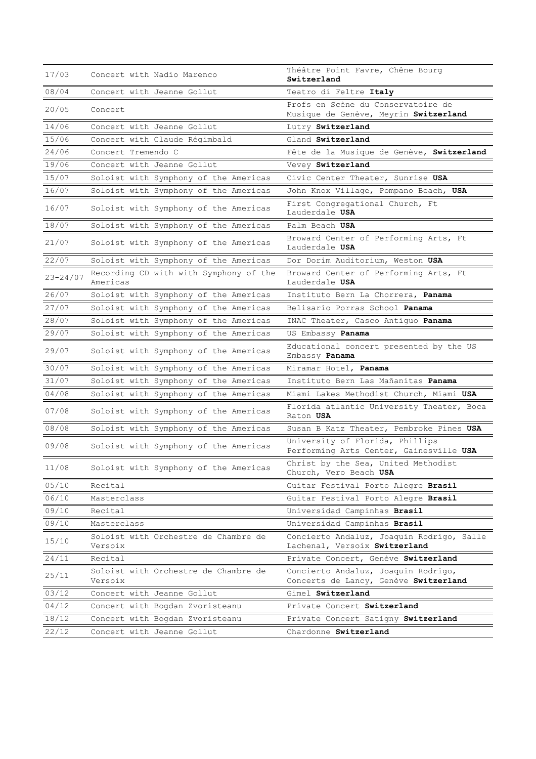| 17/03        | Concert with Nadio Marenco                         | Théâtre Point Favre, Chêne Bourg<br>Switzerland                              |
|--------------|----------------------------------------------------|------------------------------------------------------------------------------|
| 08/04        | Concert with Jeanne Gollut                         | Teatro di Feltre Italy                                                       |
| 20/05        | Concert                                            | Profs en Scène du Conservatoire de<br>Musique de Genève, Meyrin Switzerland  |
| 14/06        | Concert with Jeanne Gollut                         | Lutry Switzerland                                                            |
| 15/06        | Concert with Claude Régimbald                      | Gland Switzerland                                                            |
| 24/06        | Concert Tremendo C                                 | Fête de la Musique de Genève, Switzerland                                    |
| 19/06        | Concert with Jeanne Gollut                         | Vevey Switzerland                                                            |
| 15/07        | Soloist with Symphony of the Americas              | Civic Center Theater, Sunrise USA                                            |
| 16/07        | Soloist with Symphony of the Americas              | John Knox Village, Pompano Beach, USA                                        |
| 16/07        | Soloist with Symphony of the Americas              | First Congregational Church, Ft<br>Lauderdale USA                            |
| 18/07        | Soloist with Symphony of the Americas              | Palm Beach <b>USA</b>                                                        |
| 21/07        | Soloist with Symphony of the Americas              | Broward Center of Performing Arts, Ft<br>Lauderdale USA                      |
| 22/07        | Soloist with Symphony of the Americas              | Dor Dorim Auditorium, Weston USA                                             |
| $23 - 24/07$ | Recording CD with with Symphony of the<br>Americas | Broward Center of Performing Arts, Ft<br>Lauderdale USA                      |
| 26/07        | Soloist with Symphony of the Americas              | Instituto Bern La Chorrera, Panama                                           |
| 27/07        | Soloist with Symphony of the Americas              | Belisario Porras School Panama                                               |
| 28/07        | Soloist with Symphony of the Americas              | INAC Theater, Casco Antiguo Panama                                           |
| 29/07        | Soloist with Symphony of the Americas              | US Embassy Panama                                                            |
| 29/07        | Soloist with Symphony of the Americas              | Educational concert presented by the US<br>Embassy Panama                    |
| 30/07        | Soloist with Symphony of the Americas              | Miramar Hotel, Panama                                                        |
| 31/07        | Soloist with Symphony of the Americas              | Instituto Bern Las Mañanitas Panama                                          |
| 04/08        | Soloist with Symphony of the Americas              | Miami Lakes Methodist Church, Miami USA                                      |
| 07/08        | Soloist with Symphony of the Americas              | Florida atlantic University Theater, Boca<br>Raton USA                       |
| 08/08        | Soloist with Symphony of the Americas              | Susan B Katz Theater, Pembroke Pines USA                                     |
| 09/08        | Soloist with Symphony of the Americas              | University of Florida, Phillips<br>Performing Arts Center, Gainesville USA   |
| 11/08        | Soloist with Symphony of the Americas              | Christ by the Sea, United Methodist<br>Church, Vero Beach USA                |
| 05/10        | Recital                                            | Guitar Festival Porto Alegre Brasil                                          |
| 06/10        | Masterclass                                        | Guitar Festival Porto Alegre Brasil                                          |
| 09/10        | Recital                                            | Universidad Campinhas Brasil                                                 |
| 09/10        | Masterclass                                        | Universidad Campinhas Brasil                                                 |
| 15/10        | Soloist with Orchestre de Chambre de<br>Versoix    | Concierto Andaluz, Joaquin Rodrigo, Salle<br>Lachenal, Versoix Switzerland   |
| 24/11        | Recital                                            | Private Concert, Genève Switzerland                                          |
| 25/11        | Soloist with Orchestre de Chambre de<br>Versoix    | Concierto Andaluz, Joaquin Rodrigo,<br>Concerts de Lancy, Genève Switzerland |
| 03/12        | Concert with Jeanne Gollut                         | Gimel Switzerland                                                            |
| 04/12        | Concert with Bogdan Zvoristeanu                    | Private Concert Switzerland                                                  |
| 18/12        | Concert with Bogdan Zvoristeanu                    | Private Concert Satigny Switzerland                                          |
| 22/12        | Concert with Jeanne Gollut                         | Chardonne Switzerland                                                        |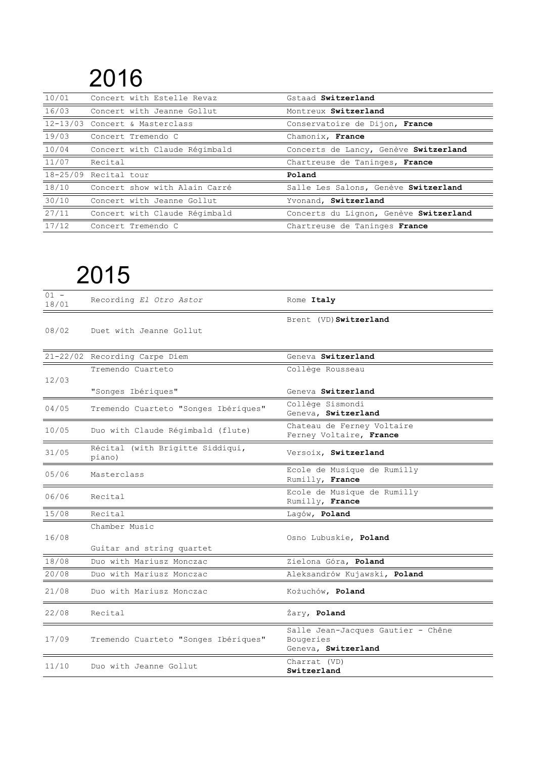| 10/01        | Concert with Estelle Revaz     | Gstaad Switzerland                     |
|--------------|--------------------------------|----------------------------------------|
| 16/03        | Concert with Jeanne Gollut     | Montreux Switzerland                   |
|              | 12-13/03 Concert & Masterclass | Conservatoire de Dijon, France         |
| 19/03        | Concert Tremendo C             | Chamonix, France                       |
| 10/04        | Concert with Claude Régimbald  | Concerts de Lancy, Genève Switzerland  |
| 11/07        | Recital                        | Chartreuse de Taninges, France         |
| $18 - 25/09$ | Recital tour                   | Poland                                 |
| 18/10        | Concert show with Alain Carré  | Salle Les Salons, Genève Switzerland   |
| 30/10        | Concert with Jeanne Gollut     | Yvonand, Switzerland                   |
| 27/11        | Concert with Claude Régimbald  | Concerts du Lignon, Genève Switzerland |
| 17/12        | Concert Tremendo C             | Chartreuse de Taninges France          |

| $01 -$<br>18/01 | Recording El Otro Astor                                    | Rome Italy                                                             |
|-----------------|------------------------------------------------------------|------------------------------------------------------------------------|
| 08/02           | Duet with Jeanne Gollut                                    | Brent (VD) Switzerland                                                 |
|                 | 21-22/02 Recording Carpe Diem                              | Geneva Switzerland                                                     |
| 12/03           | Tremendo Cuarteto                                          | Collège Rousseau                                                       |
| 04/05           | "Songes Ibériques"<br>Tremendo Cuarteto "Songes Ibériques" | Geneva Switzerland<br>Collège Sismondi<br>Geneva, Switzerland          |
| 10/05           | Duo with Claude Régimbald (flute)                          | Chateau de Ferney Voltaire<br>Ferney Voltaire, France                  |
| 31/05           | Récital (with Brigitte Siddiqui,<br>piano)                 | Versoix, Switzerland                                                   |
| 05/06           | Masterclass                                                | Ecole de Musique de Rumilly<br>Rumilly, France                         |
| 06/06           | Recital                                                    | Ecole de Musique de Rumilly<br>Rumilly, France                         |
| 15/08           | Recital                                                    | Lagów, Poland                                                          |
| 16/08           | Chamber Music<br>Guitar and string quartet                 | Osno Lubuskie, Poland                                                  |
| 18/08           | Duo with Mariusz Monczac                                   | Zielona Góra, Poland                                                   |
| 20/08           | Duo with Mariusz Monczac                                   | Aleksandrów Kujawski, Poland                                           |
| 21/08           | Duo with Mariusz Monczac                                   | Kożuchów, Poland                                                       |
| 22/08           | Recital                                                    | Żary, Poland                                                           |
| 17/09           | Tremendo Cuarteto "Songes Ibériques"                       | Salle Jean-Jacques Gautier - Chêne<br>Bougeries<br>Geneva, Switzerland |
| 11/10           | Duo with Jeanne Gollut                                     | Charrat (VD)<br>Switzerland                                            |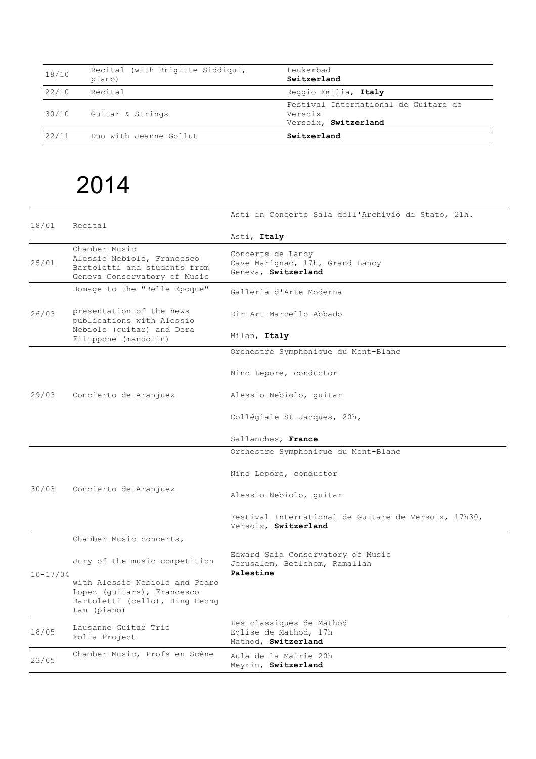| 18/10 | Recital (with Brigitte Siddiqui,<br>piano) | Leukerbad<br>Switzerland                                                |
|-------|--------------------------------------------|-------------------------------------------------------------------------|
| 22/10 | Recital                                    | Reggio Emilia, Italy                                                    |
| 30/10 | Guitar & Strings                           | Festival International de Guitare de<br>Versoix<br>Versoix, Switzerland |
| 22/11 | Duo with Jeanne Gollut                     | Switzerland                                                             |

| 18/01        | Recital                                                                                                       | Asti in Concerto Sala dell'Archivio di Stato, 21h.                           |
|--------------|---------------------------------------------------------------------------------------------------------------|------------------------------------------------------------------------------|
|              |                                                                                                               | Asti, Italy                                                                  |
| 25/01        | Chamber Music<br>Alessio Nebiolo, Francesco<br>Bartoletti and students from<br>Geneva Conservatory of Music   | Concerts de Lancy<br>Cave Marignac, 17h, Grand Lancy<br>Geneva, Switzerland  |
|              | Homage to the "Belle Epoque"                                                                                  | Galleria d'Arte Moderna                                                      |
| 26/03        | presentation of the news<br>publications with Alessio                                                         | Dir Art Marcello Abbado                                                      |
|              | Nebiolo (quitar) and Dora<br>Filippone (mandolin)                                                             | Milan, Italy                                                                 |
|              |                                                                                                               | Orchestre Symphonique du Mont-Blanc                                          |
|              |                                                                                                               | Nino Lepore, conductor                                                       |
| 29/03        | Concierto de Aranjuez                                                                                         | Alessio Nebiolo, quitar                                                      |
|              |                                                                                                               | Collégiale St-Jacques, 20h,                                                  |
|              |                                                                                                               | Sallanches, France                                                           |
|              |                                                                                                               | Orchestre Symphonique du Mont-Blanc                                          |
|              | Concierto de Aranjuez                                                                                         | Nino Lepore, conductor                                                       |
| 30/03        |                                                                                                               | Alessio Nebiolo, quitar                                                      |
|              |                                                                                                               | Festival International de Guitare de Versoix, 17h30,<br>Versoix, Switzerland |
|              | Chamber Music concerts,                                                                                       |                                                                              |
|              | Jury of the music competition                                                                                 | Edward Said Conservatory of Music<br>Jerusalem, Betlehem, Ramallah           |
| $10 - 17/04$ | with Alessio Nebiolo and Pedro<br>Lopez (quitars), Francesco<br>Bartoletti (cello), Hing Heong<br>Lam (piano) | Palestine                                                                    |
| 18/05        | Lausanne Guitar Trio<br>Folia Project                                                                         | Les classiques de Mathod<br>Eglise de Mathod, 17h<br>Mathod, Switzerland     |
| 23/05        | Chamber Music, Profs en Scène                                                                                 | Aula de la Mairie 20h<br>Meyrin, Switzerland                                 |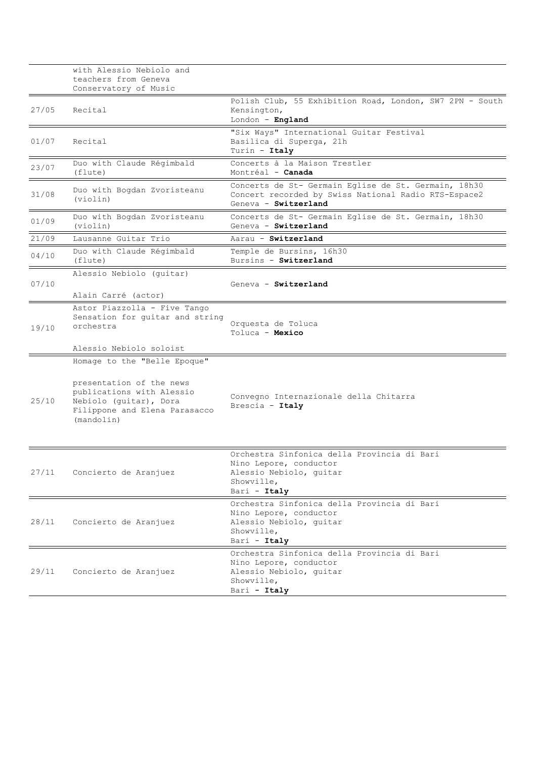|       | with Alessio Nebiolo and<br>teachers from Geneva<br>Conservatory of Music                                                                                      |                                                                                                                                      |
|-------|----------------------------------------------------------------------------------------------------------------------------------------------------------------|--------------------------------------------------------------------------------------------------------------------------------------|
| 27/05 | Recital                                                                                                                                                        | Polish Club, 55 Exhibition Road, London, SW7 2PN - South<br>Kensington,<br>London - England                                          |
| 01/07 | Recital                                                                                                                                                        | "Six Ways" International Guitar Festival<br>Basilica di Superga, 21h<br>Turin - Italy                                                |
| 23/07 | Duo with Claude Régimbald<br>(flute)                                                                                                                           | Concerts à la Maison Trestler<br>Montréal - <b>Canada</b>                                                                            |
| 31/08 | Duo with Bogdan Zvoristeanu<br>(violin)                                                                                                                        | Concerts de St- Germain Eglise de St. Germain, 18h30<br>Concert recorded by Swiss National Radio RTS-Espace2<br>Geneva - Switzerland |
| 01/09 | Duo with Bogdan Zvoristeanu<br>(violin)                                                                                                                        | Concerts de St- Germain Eglise de St. Germain, 18h30<br>Geneva - Switzerland                                                         |
| 21/09 | Lausanne Guitar Trio                                                                                                                                           | Aarau - Switzerland                                                                                                                  |
| 04/10 | Duo with Claude Régimbald<br>(flute)                                                                                                                           | Temple de Bursins, 16h30<br>Bursins - Switzerland                                                                                    |
| 07/10 | Alessio Nebiolo (guitar)<br>Alain Carré (actor)                                                                                                                | Geneva - Switzerland                                                                                                                 |
| 19/10 | Astor Piazzolla - Five Tango<br>Sensation for guitar and string<br>orchestra                                                                                   | Orquesta de Toluca<br>Toluca - Mexico                                                                                                |
|       | Alessio Nebiolo soloist                                                                                                                                        |                                                                                                                                      |
| 25/10 | Homage to the "Belle Epoque"<br>presentation of the news<br>publications with Alessio<br>Nebiolo (guitar), Dora<br>Filippone and Elena Parasacco<br>(mandolin) | Convegno Internazionale della Chitarra<br>Brescia - Italy                                                                            |
| 27/11 | Concierto de Aranjuez                                                                                                                                          | Orchestra Sinfonica della Provincia di Bari<br>Nino Lepore, conductor<br>Alessio Nebiolo, quitar<br>Showville,<br>Bari - Italy       |
| 28/11 | Concierto de Aranjuez                                                                                                                                          | Orchestra Sinfonica della Provincia di Bari<br>Nino Lepore, conductor<br>Alessio Nebiolo, quitar<br>Showville,<br>Bari - Italy       |
| 29/11 | Concierto de Aranjuez                                                                                                                                          | Orchestra Sinfonica della Provincia di Bari<br>Nino Lepore, conductor<br>Alessio Nebiolo, quitar<br>Showville,<br>Bari - Italy       |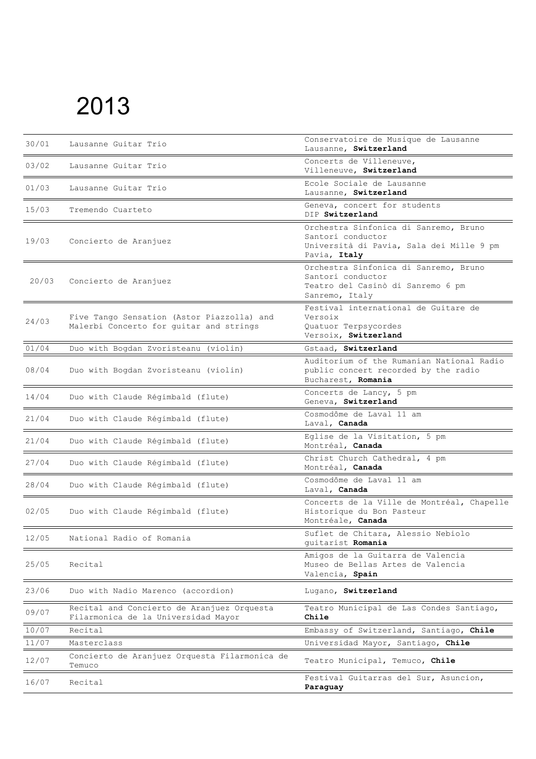| 30/01 | Lausanne Guitar Trio                                                                  | Conservatoire de Musique de Lausanne<br>Lausanne, Switzerland                                                          |
|-------|---------------------------------------------------------------------------------------|------------------------------------------------------------------------------------------------------------------------|
| 03/02 | Lausanne Guitar Trio                                                                  | Concerts de Villeneuve,<br>Villeneuve, Switzerland                                                                     |
| 01/03 | Lausanne Guitar Trio                                                                  | Ecole Sociale de Lausanne<br>Lausanne, Switzerland                                                                     |
| 15/03 | Tremendo Cuarteto                                                                     | Geneva, concert for students<br>DIP Switzerland                                                                        |
| 19/03 | Concierto de Aranjuez                                                                 | Orchestra Sinfonica di Sanremo, Bruno<br>Santori conductor<br>Università di Pavia, Sala dei Mille 9 pm<br>Pavia, Italy |
| 20/03 | Concierto de Aranjuez                                                                 | Orchestra Sinfonica di Sanremo, Bruno<br>Santori conductor<br>Teatro del Casinò di Sanremo 6 pm<br>Sanremo, Italy      |
| 24/03 | Five Tango Sensation (Astor Piazzolla) and<br>Malerbi Concerto for guitar and strings | Festival international de Guitare de<br>Versoix<br>Quatuor Terpsycordes<br>Versoix, Switzerland                        |
| 01/04 | Duo with Bogdan Zvoristeanu (violin)                                                  | Gstaad, Switzerland                                                                                                    |
| 08/04 | Duo with Bogdan Zvoristeanu (violin)                                                  | Auditorium of the Rumanian National Radio<br>public concert recorded by the radio<br>Bucharest, Romania                |
| 14/04 | Duo with Claude Régimbald (flute)                                                     | Concerts de Lancy, 5 pm<br>Geneva, Switzerland                                                                         |
| 21/04 | Duo with Claude Régimbald (flute)                                                     | Cosmodôme de Laval 11 am<br>Laval, Canada                                                                              |
| 21/04 | Duo with Claude Régimbald (flute)                                                     | Eglise de la Visitation, 5 pm<br>Montréal, Canada                                                                      |
| 27/04 | Duo with Claude Régimbald (flute)                                                     | Christ Church Cathedral, 4 pm<br>Montréal, Canada                                                                      |
| 28/04 | Duo with Claude Régimbald (flute)                                                     | Cosmodôme de Laval 11 am<br>Laval, Canada                                                                              |
| 02/05 | Duo with Claude Régimbald (flute)                                                     | Concerts de la Ville de Montréal, Chapelle<br>Historique du Bon Pasteur<br>Montréale, Canada                           |
| 12/05 | National Radio of Romania                                                             | Suflet de Chitara, Alessio Nebiolo<br>guitarist Romania                                                                |
| 25/05 | Recital                                                                               | Amigos de la Guitarra de Valencia<br>Museo de Bellas Artes de Valencia<br>Valencia, Spain                              |
| 23/06 | Duo with Nadio Marenco (accordion)                                                    | Lugano, Switzerland                                                                                                    |
| 09/07 | Recital and Concierto de Aranjuez Orquesta<br>Filarmonica de la Universidad Mayor     | Teatro Municipal de Las Condes Santiago,<br>Chile                                                                      |
| 10/07 | Recital                                                                               | Embassy of Switzerland, Santiago, Chile                                                                                |
| 11/07 | Masterclass                                                                           | Universidad Mayor, Santiago, Chile                                                                                     |
| 12/07 | Concierto de Aranjuez Orquesta Filarmonica de<br>Temuco                               | Teatro Municipal, Temuco, Chile                                                                                        |
| 16/07 | Recital                                                                               | Festival Guitarras del Sur, Asuncion,<br>Paraguay                                                                      |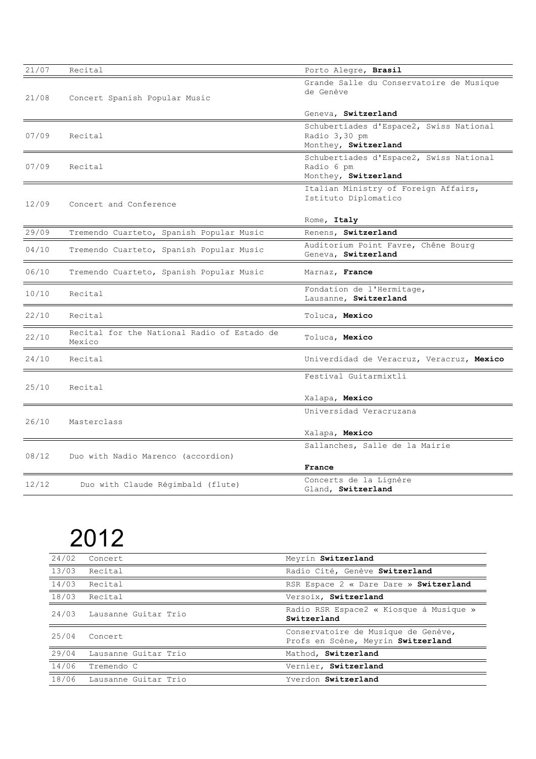| 21/07 | Recital                                               | Porto Alegre, Brasil                                                             |
|-------|-------------------------------------------------------|----------------------------------------------------------------------------------|
| 21/08 | Concert Spanish Popular Music                         | Grande Salle du Conservatoire de Musique<br>de Genève                            |
|       |                                                       | Geneva, Switzerland                                                              |
| 07/09 | Recital                                               | Schubertiades d'Espace2, Swiss National<br>Radio 3,30 pm<br>Monthey, Switzerland |
| 07/09 | Recital                                               | Schubertiades d'Espace2, Swiss National<br>Radio 6 pm<br>Monthey, Switzerland    |
| 12/09 | Concert and Conference                                | Italian Ministry of Foreign Affairs,<br>Istituto Diplomatico                     |
|       |                                                       | Rome, Italy                                                                      |
| 29/09 | Tremendo Cuarteto, Spanish Popular Music              | Renens, Switzerland                                                              |
| 04/10 | Tremendo Cuarteto, Spanish Popular Music              | Auditorium Point Favre, Chêne Bourg<br>Geneva, Switzerland                       |
| 06/10 | Tremendo Cuarteto, Spanish Popular Music              | Marnaz, France                                                                   |
| 10/10 | Recital                                               | Fondation de l'Hermitage,<br>Lausanne, Switzerland                               |
| 22/10 | Recital                                               | Toluca, Mexico                                                                   |
| 22/10 | Recital for the National Radio of Estado de<br>Mexico | Toluca, Mexico                                                                   |
| 24/10 | Recital                                               | Univerdidad de Veracruz, Veracruz, Mexico                                        |
|       |                                                       | Festival Guitarmixtli                                                            |
| 25/10 | Recital                                               | Xalapa, Mexico                                                                   |
|       |                                                       | Universidad Veracruzana                                                          |
| 26/10 | Masterclass                                           |                                                                                  |
|       |                                                       | Xalapa, Mexico                                                                   |
| 08/12 | Duo with Nadio Marenco (accordion)                    | Sallanches, Salle de la Mairie                                                   |
|       |                                                       | France                                                                           |
| 12/12 | Duo with Claude Régimbald (flute)                     | Concerts de la Lignère<br>Gland, Switzerland                                     |

| 24/02 | Concert              | Meyrin Switzerland                                                        |
|-------|----------------------|---------------------------------------------------------------------------|
| 13/03 | Recital              | Radio Cité, Genève Switzerland                                            |
| 14/03 | Recital              | RSR Espace 2 « Dare Dare » Switzerland                                    |
| 18/03 | Recital              | Versoix, Switzerland                                                      |
| 24/03 | Lausanne Guitar Trio | Radio RSR Espace2 « Kiosque à Musique »<br>Switzerland                    |
| 25/04 | Concert              | Conservatoire de Musique de Genève,<br>Profs en Scène, Meyrin Switzerland |
| 29/04 | Lausanne Guitar Trio | Mathod, Switzerland                                                       |
| 14/06 | Tremendo C           | Vernier, Switzerland                                                      |
| 18/06 | Lausanne Guitar Trio | Yverdon Switzerland                                                       |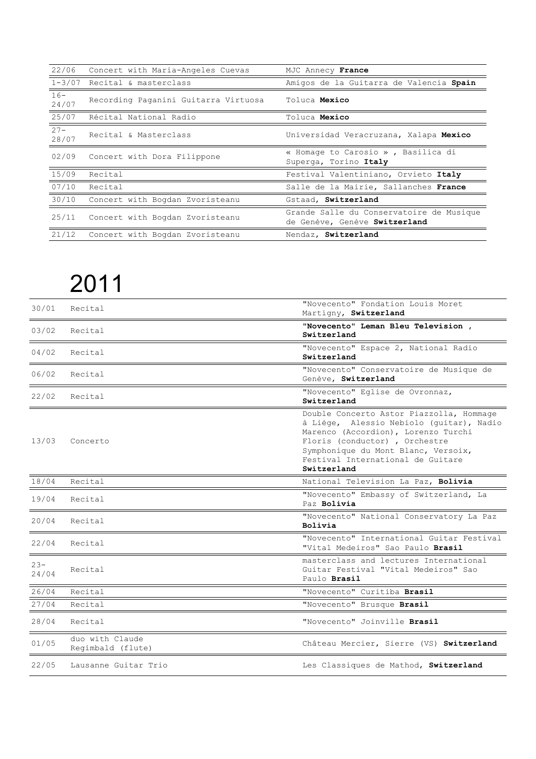| 22/06           | Concert with Maria-Angeles Cuevas    | MJC Annecy France                                                         |
|-----------------|--------------------------------------|---------------------------------------------------------------------------|
|                 | 1-3/07 Recital & masterclass         | Amigos de la Guitarra de Valencia Spain                                   |
| $16 -$<br>24/07 | Recording Paganini Guitarra Virtuosa | Toluca Mexico                                                             |
| 25/07           | Récital National Radio               | Toluca Mexico                                                             |
| $27 -$<br>28/07 | Recital & Masterclass                | Universidad Veracruzana, Xalapa Mexico                                    |
| 02/09           | Concert with Dora Filippone          | « Homage to Carosio », Basilica di<br>Superga, Torino Italy               |
| 15/09           | Recital                              | Festival Valentiniano, Orvieto Italy                                      |
| 07/10           | Recital                              | Salle de la Mairie, Sallanches France                                     |
| 30/10           | Concert with Bogdan Zvoristeanu      | Gstaad, Switzerland                                                       |
| 25/11           | Concert with Bogdan Zvoristeanu      | Grande Salle du Conservatoire de Musique<br>de Genève, Genève Switzerland |
| 21/12           | Concert with Bogdan Zvoristeanu      | Nendaz, Switzerland                                                       |

| 30/01           | Recital                              | "Novecento" Fondation Louis Moret<br>Martigny, Switzerland                                                                                                                                                                                              |
|-----------------|--------------------------------------|---------------------------------------------------------------------------------------------------------------------------------------------------------------------------------------------------------------------------------------------------------|
| 03/02           | Recital                              | "Novecento" Leman Bleu Television,<br>Switzerland                                                                                                                                                                                                       |
| 04/02           | Recital                              | "Novecento" Espace 2, National Radio<br>Switzerland                                                                                                                                                                                                     |
| 06/02           | Recital                              | "Novecento" Conservatoire de Musique de<br>Genève, Switzerland                                                                                                                                                                                          |
| 22/02           | Recital                              | "Novecento" Eglise de Ovronnaz,<br>Switzerland                                                                                                                                                                                                          |
| 13/03           | Concerto                             | Double Concerto Astor Piazzolla, Hommage<br>à Liège, Alessio Nebiolo (guitar), Nadio<br>Marenco (Accordion), Lorenzo Turchi<br>Floris (conductor), Orchestre<br>Symphonique du Mont Blanc, Versoix,<br>Festival International de Guitare<br>Switzerland |
| 18/04           | Recital                              | National Television La Paz, Bolivia                                                                                                                                                                                                                     |
| 19/04           | Recital                              | "Novecento" Embassy of Switzerland, La<br>Paz Bolivia                                                                                                                                                                                                   |
| 20/04           | Recital                              | "Novecento" National Conservatory La Paz<br>Bolivia                                                                                                                                                                                                     |
| 22/04           | Recital                              | "Novecento" International Guitar Festival<br>"Vital Medeiros" Sao Paulo Brasil                                                                                                                                                                          |
| $23 -$<br>24/04 | Recital                              | masterclass and lectures International<br>Guitar Festival "Vital Medeiros" Sao<br>Paulo <b>Brasil</b>                                                                                                                                                   |
| 26/04           | Recital                              | "Novecento" Curitiba Brasil                                                                                                                                                                                                                             |
| 27/04           |                                      |                                                                                                                                                                                                                                                         |
|                 | Recital                              | "Novecento" Brusque Brasil                                                                                                                                                                                                                              |
| 28/04           | Recital                              | "Novecento" Joinville Brasil                                                                                                                                                                                                                            |
| 01/05           | duo with Claude<br>Regimbald (flute) | Château Mercier, Sierre (VS) Switzerland                                                                                                                                                                                                                |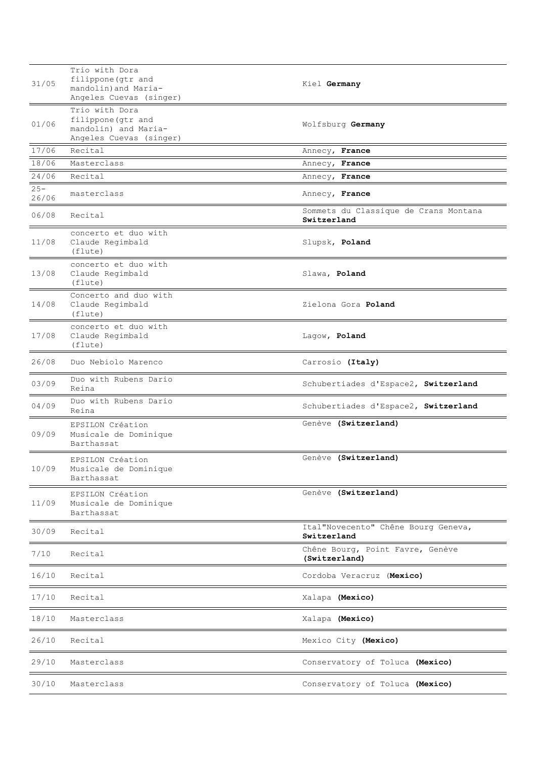| 31/05           | Trio with Dora<br>filippone (gtr and<br>mandolin) and Maria-<br>Angeles Cuevas (singer) | Kiel Germany                                         |
|-----------------|-----------------------------------------------------------------------------------------|------------------------------------------------------|
| 01/06           | Trio with Dora<br>filippone (gtr and<br>mandolin) and Maria-<br>Angeles Cuevas (singer) | Wolfsburg Germany                                    |
| 17/06           | Recital                                                                                 | Annecy, France                                       |
| 18/06           | Masterclass                                                                             | Annecy, France                                       |
| 24/06           | Recital                                                                                 | Annecy, France                                       |
| $25 -$<br>26/06 | masterclass                                                                             | Annecy, France                                       |
| 06/08           | Recital                                                                                 | Sommets du Classique de Crans Montana<br>Switzerland |
| 11/08           | concerto et duo with<br>Claude Regimbald<br>(flute)                                     | Slupsk, Poland                                       |
| 13/08           | concerto et duo with<br>Claude Regimbald<br>(flute)                                     | Slawa, Poland                                        |
| 14/08           | Concerto and duo with<br>Claude Regimbald<br>(flute)                                    | Zielona Gora Poland                                  |
| 17/08           | concerto et duo with<br>Claude Regimbald<br>(flute)                                     | Lagow, Poland                                        |
| 26/08           | Duo Nebiolo Marenco                                                                     | Carrosio (Italy)                                     |
| 03/09           | Duo with Rubens Dario<br>Reina                                                          | Schubertiades d'Espace2, Switzerland                 |
| 04/09           | Duo with Rubens Dario<br>Reina                                                          | Schubertiades d'Espace2, Switzerland                 |
| 09/09           | EPSILON Création<br>Musicale de Dominique<br>Barthassat                                 | Genève (Switzerland)                                 |
| 10/09           | EPSILON Création<br>Musicale de Dominique<br>Barthassat                                 | Genève (Switzerland)                                 |
| 11/09           | EPSILON Création<br>Musicale de Dominique<br>Barthassat                                 | Genève (Switzerland)                                 |
| 30/09           | Recital                                                                                 | Ital"Novecento" Chêne Bourg Geneva,<br>Switzerland   |
| 7/10            | Recital                                                                                 | Chêne Bourg, Point Favre, Genève<br>(Switzerland)    |
| 16/10           | Recital                                                                                 | Cordoba Veracruz (Mexico)                            |
| 17/10           | Recital                                                                                 | Xalapa (Mexico)                                      |
| 18/10           | Masterclass                                                                             | Xalapa (Mexico)                                      |
| 26/10           | Recital                                                                                 | Mexico City (Mexico)                                 |
| 29/10           | Masterclass                                                                             | Conservatory of Toluca (Mexico)                      |
| 30/10           | Masterclass                                                                             | Conservatory of Toluca (Mexico)                      |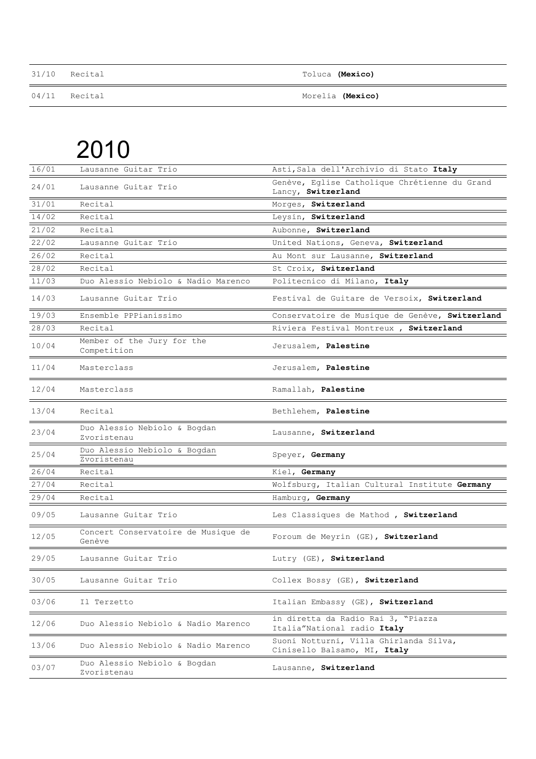| 31/10 Recital | Toluca (Mexico)         |
|---------------|-------------------------|
| 04/11 Recital | Morelia <b>(Mexico)</b> |

| 16/01 | Lausanne Guitar Trio                          | Asti, Sala dell'Archivio di Stato Italy                                |
|-------|-----------------------------------------------|------------------------------------------------------------------------|
| 24/01 | Lausanne Guitar Trio                          | Genève, Eglise Catholique Chrétienne du Grand<br>Lancy, Switzerland    |
| 31/01 | Recital                                       | Morges, Switzerland                                                    |
| 14/02 | Recital                                       | Leysin, Switzerland                                                    |
| 21/02 | Recital                                       | Aubonne, Switzerland                                                   |
| 22/02 | Lausanne Guitar Trio                          | United Nations, Geneva, Switzerland                                    |
| 26/02 | Recital                                       | Au Mont sur Lausanne, Switzerland                                      |
| 28/02 | Recital                                       | St Croix, Switzerland                                                  |
| 11/03 | Duo Alessio Nebiolo & Nadio Marenco           | Politecnico di Milano, Italy                                           |
| 14/03 | Lausanne Guitar Trio                          | Festival de Guitare de Versoix, Switzerland                            |
| 19/03 | Ensemble PPPianissimo                         | Conservatoire de Musique de Genève, Switzerland                        |
| 28/03 | Recital                                       | Riviera Festival Montreux, Switzerland                                 |
| 10/04 | Member of the Jury for the<br>Competition     | Jerusalem, Palestine                                                   |
| 11/04 | Masterclass                                   | Jerusalem, Palestine                                                   |
| 12/04 | Masterclass                                   | Ramallah, Palestine                                                    |
| 13/04 | Recital                                       | Bethlehem, Palestine                                                   |
| 23/04 | Duo Alessio Nebiolo & Bogdan<br>Zvoristenau   | Lausanne, Switzerland                                                  |
| 25/04 | Duo Alessio Nebiolo & Bogdan<br>Zvoristenau   | Speyer, Germany                                                        |
| 26/04 | Recital                                       | Kiel, Germany                                                          |
| 27/04 | Recital                                       | Wolfsburg, Italian Cultural Institute Germany                          |
| 29/04 | Recital                                       | Hamburg, Germany                                                       |
| 09/05 | Lausanne Guitar Trio                          | Les Classiques de Mathod , Switzerland                                 |
| 12/05 | Concert Conservatoire de Musique de<br>Genève | Foroum de Meyrin (GE), Switzerland                                     |
| 29/05 | Lausanne Guitar Trio                          | Lutry (GE), Switzerland                                                |
| 30/05 | Lausanne Guitar Trio                          | Collex Bossy (GE), Switzerland                                         |
| 03/06 | Il Terzetto                                   | Italian Embassy (GE), Switzerland                                      |
| 12/06 | Duo Alessio Nebiolo & Nadio Marenco           | in diretta da Radio Rai 3, "Piazza<br>Italia"National radio Italy      |
| 13/06 | Duo Alessio Nebiolo & Nadio Marenco           | Suoni Notturni, Villa Ghirlanda Silva,<br>Cinisello Balsamo, MI, Italy |
| 03/07 | Duo Alessio Nebiolo & Bogdan<br>Zvoristenau   | Lausanne, Switzerland                                                  |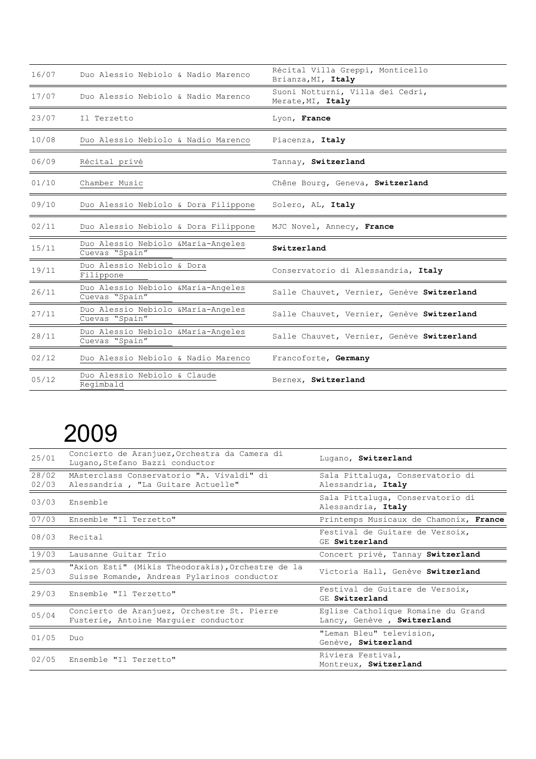| 16/07 | Duo Alessio Nebiolo & Nadio Marenco                   | Récital Villa Greppi, Monticello<br>Brianza, MI, Italy |
|-------|-------------------------------------------------------|--------------------------------------------------------|
| 17/07 | Duo Alessio Nebiolo & Nadio Marenco                   | Suoni Notturni, Villa dei Cedri,<br>Merate, MI, Italy  |
| 23/07 | Il Terzetto                                           | Lyon, France                                           |
| 10/08 | Duo Alessio Nebiolo & Nadio Marenco                   | Piacenza, Italy                                        |
| 06/09 | Récital privé                                         | Tannay, Switzerland                                    |
| 01/10 | Chamber Music                                         | Chêne Bourg, Geneva, Switzerland                       |
| 09/10 | Duo Alessio Nebiolo & Dora Filippone                  | Solero, AL, Italy                                      |
| 02/11 | Duo Alessio Nebiolo & Dora Filippone                  | MJC Novel, Annecy, France                              |
| 15/11 | Duo Alessio Nebiolo & Maria-Angeles<br>Cuevas "Spain" | Switzerland                                            |
| 19/11 | Duo Alessio Nebiolo & Dora<br>Filippone               | Conservatorio di Alessandria, Italy                    |
| 26/11 | Duo Alessio Nebiolo & Maria-Angeles<br>Cuevas "Spain" | Salle Chauvet, Vernier, Genève Switzerland             |
| 27/11 | Duo Alessio Nebiolo & Maria-Angeles<br>Cuevas "Spain" | Salle Chauvet, Vernier, Genève Switzerland             |
| 28/11 | Duo Alessio Nebiolo & Maria-Angeles<br>Cuevas "Spain" | Salle Chauvet, Vernier, Genève Switzerland             |
| 02/12 | Duo Alessio Nebiolo & Nadio Marenco                   | Francoforte, Germany                                   |
| 05/12 | Duo Alessio Nebiolo & Claude<br>Regimbald             | Bernex, Switzerland                                    |

| 25/01          | Concierto de Aranjuez, Orchestra da Camera di<br>Lugano, Stefano Bazzi conductor                 | Lugano, Switzerland                                               |  |
|----------------|--------------------------------------------------------------------------------------------------|-------------------------------------------------------------------|--|
| 28/02<br>02/03 | MAsterclass Conservatorio "A. Vivaldi" di<br>Alessandria, "La Guitare Actuelle"                  | Sala Pittaluga, Conservatorio di<br>Alessandria, Italy            |  |
| 03/03          | Ensemble                                                                                         | Sala Pittaluga, Conservatorio di<br>Alessandria, Italy            |  |
| 07/03          | Ensemble "Il Terzetto"                                                                           | Printemps Musicaux de Chamonix, France                            |  |
| 08/03          | Recital                                                                                          | Festival de Guitare de Versoix,<br>GE Switzerland                 |  |
| 19/03          | Lausanne Guitar Trio                                                                             | Concert privé, Tannay Switzerland                                 |  |
| 25/03          | "Axion Esti" (Mikis Theodorakis), Orchestre de la<br>Suisse Romande, Andreas Pylarinos conductor | Victoria Hall, Genève Switzerland                                 |  |
| 29/03          | Ensemble "Il Terzetto"                                                                           | Festival de Guitare de Versoix,<br>GE Switzerland                 |  |
| 05/04          | Concierto de Aranjuez, Orchestre St. Pierre<br>Fusterie, Antoine Marquier conductor              | Eglise Catholique Romaine du Grand<br>Lancy, Genève , Switzerland |  |
| 01/05          | Duo.                                                                                             | "Leman Bleu" television,<br>Genève, Switzerland                   |  |
| 02/05          | Ensemble "Il Terzetto"                                                                           | Riviera Festival,<br>Montreux, Switzerland                        |  |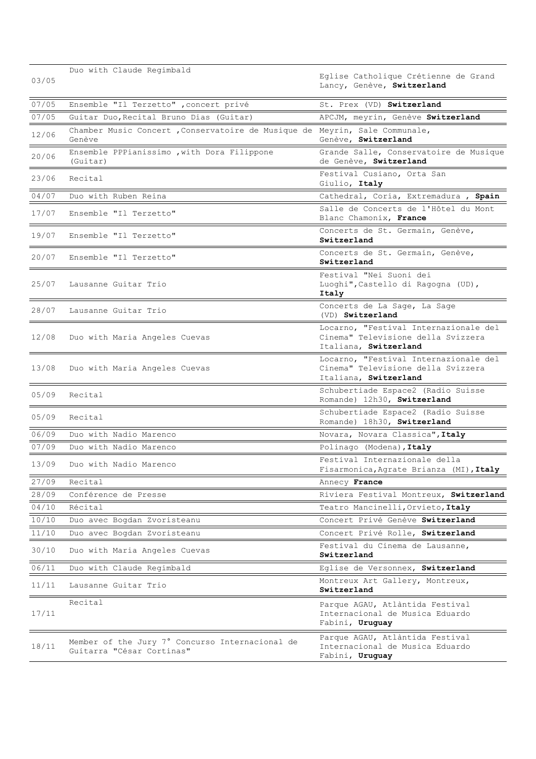| 03/05 | Duo with Claude Regimbald                                                            | Eglise Catholique Crétienne de Grand                                                                 |
|-------|--------------------------------------------------------------------------------------|------------------------------------------------------------------------------------------------------|
|       |                                                                                      | Lancy, Genève, Switzerland                                                                           |
| 07/05 | Ensemble "Il Terzetto" , concert privé                                               | St. Prex (VD) Switzerland                                                                            |
| 07/05 | Guitar Duo, Recital Bruno Dias (Guitar)                                              | APCJM, meyrin, Genève Switzerland                                                                    |
| 12/06 | Chamber Music Concert, Conservatoire de Musique de Meyrin, Sale Communale,<br>Genève | Genève, Switzerland                                                                                  |
| 20/06 | Ensemble PPPianissimo , with Dora Filippone<br>(Guitar)                              | Grande Salle, Conservatoire de Musique<br>de Genève, Switzerland                                     |
| 23/06 | Recital                                                                              | Festival Cusiano, Orta San<br>Giulio, Italy                                                          |
| 04/07 | Duo with Ruben Reina                                                                 | Cathedral, Coria, Extremadura, Spain                                                                 |
| 17/07 | Ensemble "Il Terzetto"                                                               | Salle de Concerts de l'Hôtel du Mont<br>Blanc Chamonix, France                                       |
| 19/07 | Ensemble "Il Terzetto"                                                               | Concerts de St. Germain, Genève,<br>Switzerland                                                      |
| 20/07 | Ensemble "Il Terzetto"                                                               | Concerts de St. Germain, Genève,<br>Switzerland                                                      |
| 25/07 | Lausanne Guitar Trio                                                                 | Festival "Nei Suoni dei<br>Luoghi", Castello di Ragogna (UD),<br>Italy                               |
| 28/07 | Lausanne Guitar Trio                                                                 | Concerts de La Sage, La Sage<br>(VD) Switzerland                                                     |
| 12/08 | Duo with Maria Angeles Cuevas                                                        | Locarno, "Festival Internazionale del<br>Cinema" Televisione della Svizzera<br>Italiana, Switzerland |
| 13/08 | Duo with Maria Angeles Cuevas                                                        | Locarno, "Festival Internazionale del<br>Cinema" Televisione della Svizzera<br>Italiana, Switzerland |
| 05/09 | Recital                                                                              | Schubertiade Espace2 (Radio Suisse<br>Romande) 12h30, Switzerland                                    |
| 05/09 | Recital                                                                              | Schubertiade Espace2 (Radio Suisse<br>Romande) 18h30, Switzerland                                    |
| 06/09 | Duo with Nadio Marenco                                                               | Novara, Novara Classica", Italy                                                                      |
| 07/09 | Duo with Nadio Marenco                                                               | Polinago (Modena), Italy                                                                             |
| 13/09 | Duo with Nadio Marenco                                                               | Festival Internazionale della<br>Fisarmonica, Agrate Brianza (MI), Italy                             |
| 27/09 | Recital                                                                              | Annecy France                                                                                        |
| 28/09 | Conférence de Presse                                                                 | Riviera Festival Montreux, Switzerland                                                               |
| 04/10 | Récital                                                                              | Teatro Mancinelli, Orvieto, Italy                                                                    |
| 10/10 | Duo avec Bogdan Zvoristeanu                                                          | Concert Privé Genève Switzerland                                                                     |
| 11/10 | Duo avec Bogdan Zvoristeanu                                                          | Concert Privé Rolle, Switzerland                                                                     |
| 30/10 | Duo with Maria Angeles Cuevas                                                        | Festival du Cinema de Lausanne,<br>Switzerland                                                       |
| 06/11 | Duo with Claude Regimbald                                                            | Eglise de Versonnex, Switzerland                                                                     |
| 11/11 | Lausanne Guitar Trio                                                                 | Montreux Art Gallery, Montreux,<br>Switzerland                                                       |
| 17/11 | Recital                                                                              | Parque AGAU, Atlàntida Festival<br>Internacional de Musica Eduardo<br>Fabini, Uruguay                |
| 18/11 | Member of the Jury 7° Concurso Internacional de<br>Guitarra "César Cortinas"         | Parque AGAU, Atlàntida Festival<br>Internacional de Musica Eduardo<br>Fabini, Uruguay                |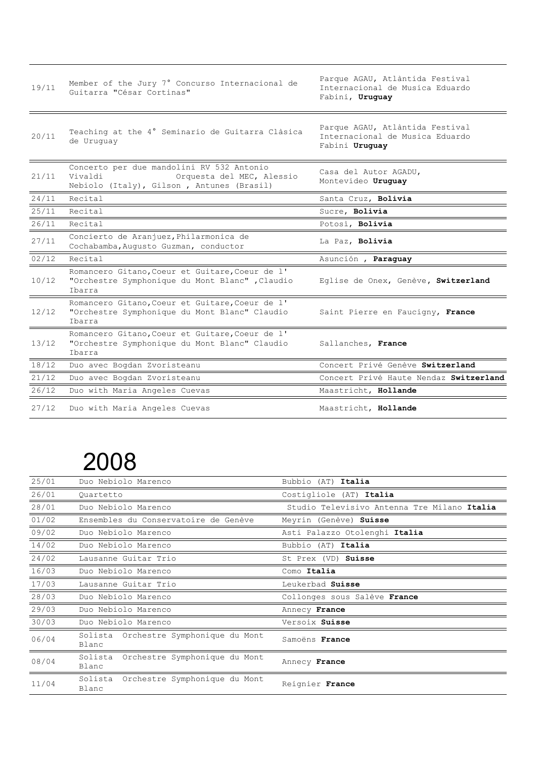| 19/11 | Member of the Jury 7° Concurso Internacional de<br>Guitarra "César Cortinas"                                                   | Parque AGAU, Atlàntida Festival<br>Internacional de Musica Eduardo<br>Fabini, Uruguay |
|-------|--------------------------------------------------------------------------------------------------------------------------------|---------------------------------------------------------------------------------------|
| 20/11 | Teaching at the 4° Seminario de Guitarra Clàsica<br>de Uruquay                                                                 | Parque AGAU, Atlàntida Festival<br>Internacional de Musica Eduardo<br>Fabini Uruguay  |
| 21/11 | Concerto per due mandolini RV 532 Antonio<br>Vivaldi<br>Orquesta del MEC, Alessio<br>Nebiolo (Italy), Gilson, Antunes (Brasil) | Casa del Autor AGADU,<br>Montevideo Uruguay                                           |
| 24/11 | Recital                                                                                                                        | Santa Cruz, Bolivia                                                                   |
| 25/11 | Recital                                                                                                                        | Sucre, Bolivia                                                                        |
| 26/11 | Recital                                                                                                                        | Potosì, Bolivia                                                                       |
| 27/11 | Concierto de Aranjuez, Philarmonica de<br>Cochabamba, Augusto Guzman, conductor                                                | La Paz, Bolivia                                                                       |
| 02/12 | Recital                                                                                                                        | Asunción , Paraguay                                                                   |
| 10/12 | Romancero Gitano, Coeur et Guitare, Coeur de l'<br>"Orchestre Symphonique du Mont Blanc", Claudio<br>Ibarra                    | Eglise de Onex, Genève, Switzerland                                                   |
| 12/12 | Romancero Gitano, Coeur et Guitare, Coeur de l'<br>"Orchestre Symphonique du Mont Blanc" Claudio<br>Ibarra                     | Saint Pierre en Faucigny, France                                                      |
| 13/12 | Romancero Gitano, Coeur et Guitare, Coeur de l'<br>"Orchestre Symphonique du Mont Blanc" Claudio<br>Ibarra                     | Sallanches, France                                                                    |
| 18/12 | Duo avec Bogdan Zvoristeanu                                                                                                    | Concert Privé Genève Switzerland                                                      |
| 21/12 | Duo avec Bogdan Zvoristeanu                                                                                                    | Concert Privé Haute Nendaz Switzerland                                                |
| 26/12 | Duo with Maria Angeles Cuevas                                                                                                  | Maastricht, Hollande                                                                  |
| 27/12 | Duo with Maria Angeles Cuevas                                                                                                  | Maastricht, Hollande                                                                  |

| 25/01 | Duo Nebiolo Marenco                               | Bubbio (AT) Italia                          |
|-------|---------------------------------------------------|---------------------------------------------|
| 26/01 | Quartetto                                         | Costigliole (AT) Italia                     |
| 28/01 | Duo Nebiolo Marenco                               | Studio Televisivo Antenna Tre Milano Italia |
| 01/02 | Ensembles du Conservatoire de Genève              | Meyrin (Genève) Suisse                      |
| 09/02 | Duo Nebiolo Marenco                               | Asti Palazzo Otolenghi Italia               |
| 14/02 | Duo Nebiolo Marenco                               | Bubbio (AT) Italia                          |
| 24/02 | Lausanne Guitar Trio                              | St Prex (VD) Suisse                         |
| 16/03 | Duo Nebiolo Marenco                               | Como Italia                                 |
| 17/03 | Lausanne Guitar Trio                              | Leukerbad Suisse                            |
| 28/03 | Duo Nebiolo Marenco                               | Collonges sous Salève France                |
| 29/03 | Duo Nebiolo Marenco                               | Annecy France                               |
| 30/03 | Duo Nebiolo Marenco                               | Versoix Suisse                              |
| 06/04 | Solista Orchestre Symphonique du Mont<br>Blanc    | Samoëns France                              |
| 08/04 | Solista<br>Orchestre Symphonique du Mont<br>Blanc | Annecy France                               |
| 11/04 | Solista<br>Orchestre Symphonique du Mont<br>Blanc | Reignier France                             |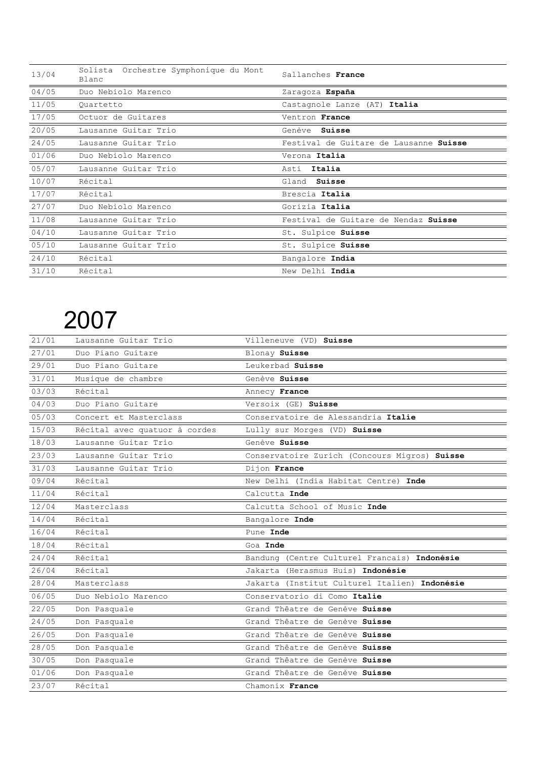| 13/04           | Solista Orchestre Symphonique du Mont<br>Blanc | Sallanches France                      |
|-----------------|------------------------------------------------|----------------------------------------|
| 04/05           | Duo Nebiolo Marenco                            | Zaragoza España                        |
| 11/05           | Quartetto                                      | Castagnole Lanze (AT) Italia           |
| 17/05           | Octuor de Guitares                             | Ventron France                         |
| 20/05           | Lausanne Guitar Trio                           | Genève Suisse                          |
| 24/05           | Lausanne Guitar Trio                           | Festival de Guitare de Lausanne Suisse |
| 01/06           | Duo Nebiolo Marenco                            | Verona Italia                          |
| 05/07           | Lausanne Guitar Trio                           | Asti Italia                            |
| 10/07           | Récital                                        | Gland<br>Suisse                        |
| 17/07           | Récital                                        | Brescia Italia                         |
| $\frac{27}{07}$ | Duo Nebiolo Marenco                            | Gorizia Italia                         |
| 11/08           | Lausanne Guitar Trio                           | Festival de Guitare de Nendaz Suisse   |
| 04/10           | Lausanne Guitar Trio                           | St. Sulpice Suisse                     |
| 05/10           | Lausanne Guitar Trio                           | St. Sulpice Suisse                     |
| 24/10           | Récital                                        | Bangalore India                        |
| 31/10           | Récital                                        | New Delhi India                        |

| 21/01 | Lausanne Guitar Trio          | Villeneuve (VD) Suisse                        |
|-------|-------------------------------|-----------------------------------------------|
| 27/01 | Duo Piano Guitare             | Blonay Suisse                                 |
| 29/01 | Duo Piano Guitare             | Leukerbad Suisse                              |
| 31/01 | Musique de chambre            | Genève Suisse                                 |
| 03/03 | Récital                       | Annecy France                                 |
| 04/03 | Duo Piano Guitare             | Versoix (GE) Suisse                           |
| 05/03 | Concert et Masterclass        | Conservatoire de Alessandria Italie           |
| 15/03 | Récital avec quatuor à cordes | Lully sur Morges (VD) Suisse                  |
| 18/03 | Lausanne Guitar Trio          | Genève Suisse                                 |
| 23/03 | Lausanne Guitar Trio          | Conservatoire Zurich (Concours Migros) Suisse |
| 31/03 | Lausanne Guitar Trio          | Dijon France                                  |
| 09/04 | Récital                       | New Delhi (India Habitat Centre) Inde         |
| 11/04 | Récital                       | Calcutta Inde                                 |
| 12/04 | Masterclass                   | Calcutta School of Music Inde                 |
| 14/04 | Récital                       | Bangalore Inde                                |
| 16/04 | Récital                       | Pune Inde                                     |
| 18/04 | Récital                       | Goa Inde                                      |
| 24/04 | Récital                       | Bandung (Centre Culturel Francais) Indonésie  |
| 26/04 | Récital                       | Jakarta (Herasmus Huis) Indonésie             |
| 28/04 | Masterclass                   | Jakarta (Institut Culturel Italien) Indonésie |
| 06/05 | Duo Nebiolo Marenco           | Conservatorio di Como Italie                  |
| 22/05 | Don Pasquale                  | Grand Thêatre de Genève Suisse                |
| 24/05 | Don Pasquale                  | Grand Thêatre de Genève Suisse                |
| 26/05 | Don Pasquale                  | Grand Thêatre de Genève Suisse                |
| 28/05 | Don Pasquale                  | Grand Thêatre de Genève Suisse                |
| 30/05 | Don Pasquale                  | Grand Thêatre de Genève Suisse                |
| 01/06 | Don Pasquale                  | Grand Thêatre de Genève Suisse                |
| 23/07 | Récital                       | Chamonix France                               |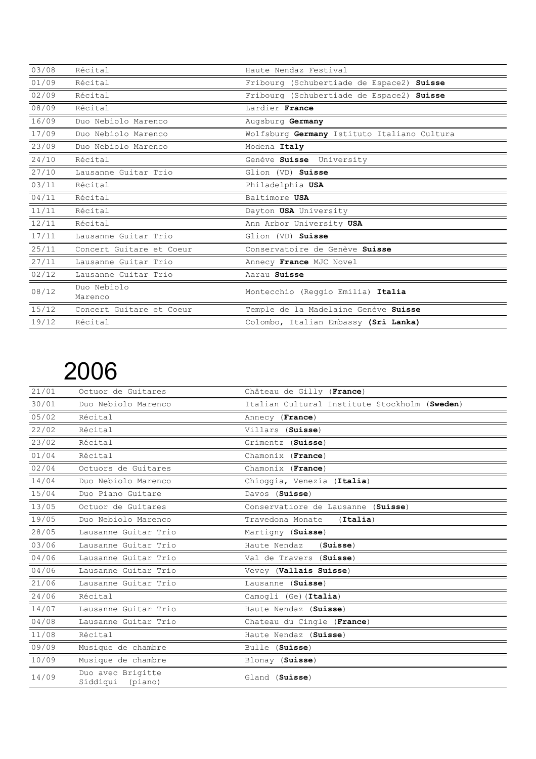| 03/08 | Récital                  | Haute Nendaz Festival                       |
|-------|--------------------------|---------------------------------------------|
| 01/09 | Récital                  | Fribourg (Schubertiade de Espace2) Suisse   |
| 02/09 | Récital                  | Fribourg (Schubertiade de Espace2) Suisse   |
| 08/09 | Récital                  | Lardier France                              |
| 16/09 | Duo Nebiolo Marenco      | Augsburg Germany                            |
| 17/09 | Duo Nebiolo Marenco      | Wolfsburg Germany Istituto Italiano Cultura |
| 23/09 | Duo Nebiolo Marenco      | Modena Italy                                |
| 24/10 | Récital                  | Genève Suisse University                    |
| 27/10 | Lausanne Guitar Trio     | Glion (VD) Suisse                           |
| 03/11 | Récital                  | Philadelphia USA                            |
| 04/11 | Récital                  | Baltimore USA                               |
| 11/11 | Récital                  | Dayton USA University                       |
| 12/11 | Récital                  | Ann Arbor University USA                    |
| 17/11 | Lausanne Guitar Trio     | Glion (VD) Suisse                           |
| 25/11 | Concert Guitare et Coeur | Conservatoire de Genève Suisse              |
| 27/11 | Lausanne Guitar Trio     | Annecy France MJC Novel                     |
| 02/12 | Lausanne Guitar Trio     | Aarau Suisse                                |
| 08/12 | Duo Nebiolo<br>Marenco   | Montecchio (Reggio Emilia) Italia           |
| 15/12 | Concert Guitare et Coeur | Temple de la Madelaine Genève Suisse        |
| 19/12 | Récital                  | Colombo, Italian Embassy (Sri Lanka)        |

| 21/01 | Octuor de Guitares                       | Château de Gilly (France)                     |
|-------|------------------------------------------|-----------------------------------------------|
| 30/01 | Duo Nebiolo Marenco                      | Italian Cultural Institute Stockholm (Sweden) |
| 05/02 | Récital                                  | Annecy (France)                               |
| 22/02 | Récital                                  | Villars (Suisse)                              |
| 23/02 | Récital                                  | Grimentz (Suisse)                             |
| 01/04 | Récital                                  | Chamonix (France)                             |
| 02/04 | Octuors de Guitares                      | Chamonix (France)                             |
| 14/04 | Duo Nebiolo Marenco                      | Chioggia, Venezia (Italia)                    |
| 15/04 | Duo Piano Guitare                        | Davos (Suisse)                                |
| 13/05 | Octuor de Guitares                       | Conservatiore de Lausanne (Suisse)            |
| 19/05 | Duo Nebiolo Marenco                      | Travedona Monate<br>(Italia)                  |
| 28/05 | Lausanne Guitar Trio                     | Martigny (Suisse)                             |
| 03/06 | Lausanne Guitar Trio                     | Haute Nendaz<br>(Suisse)                      |
| 04/06 | Lausanne Guitar Trio                     | Val de Travers (Suisse)                       |
| 04/06 | Lausanne Guitar Trio                     | Vevey (Vallais Suisse)                        |
| 21/06 | Lausanne Guitar Trio                     | Lausanne (Suisse)                             |
| 24/06 | Récital                                  | Camogli (Ge) (Italia)                         |
| 14/07 | Lausanne Guitar Trio                     | Haute Nendaz (Suisse)                         |
| 04/08 | Lausanne Guitar Trio                     | Chateau du Cingle (France)                    |
| 11/08 | Récital                                  | Haute Nendaz (Suisse)                         |
| 09/09 | Musique de chambre                       | Bulle (Suisse)                                |
| 10/09 | Musique de chambre                       | Blonay (Suisse)                               |
| 14/09 | Duo avec Brigitte<br>Siddiqui<br>(piano) | Gland (Suisse)                                |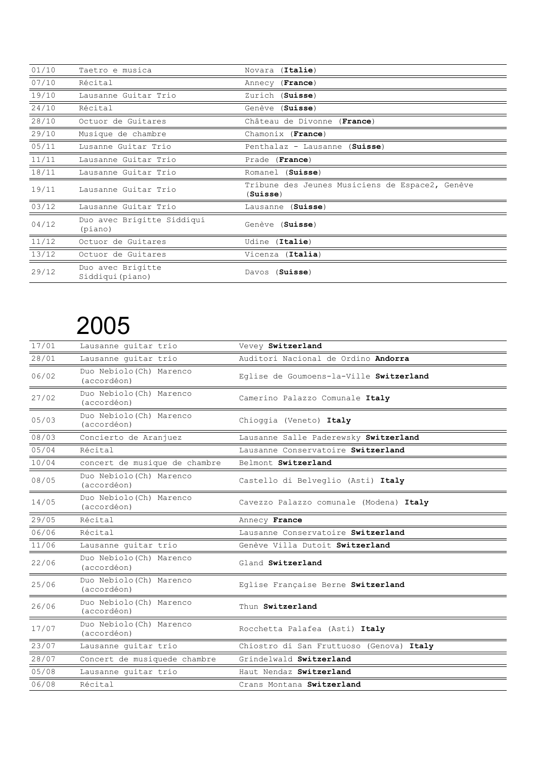| 01/10 | Taetro e musica                       | Novara (Italie)                                             |
|-------|---------------------------------------|-------------------------------------------------------------|
| 07/10 | Récital                               | Annecy (France)                                             |
| 19/10 | Lausanne Guitar Trio                  | Zurich (Suisse)                                             |
| 24/10 | Récital                               | Genève (Suisse)                                             |
| 28/10 | Octuor de Guitares                    | Château de Divonne (France)                                 |
| 29/10 | Musique de chambre                    | Chamonix (France)                                           |
| 05/11 | Lusanne Guitar Trio                   | Penthalaz - Lausanne (Suisse)                               |
| 11/11 | Lausanne Guitar Trio                  | Prade (France)                                              |
| 18/11 | Lausanne Guitar Trio                  | Romanel (Suisse)                                            |
| 19/11 | Lausanne Guitar Trio                  | Tribune des Jeunes Musiciens de Espace2, Genève<br>(Suisse) |
| 03/12 | Lausanne Guitar Trio                  | Lausanne (Suisse)                                           |
| 04/12 | Duo avec Brigitte Siddiqui<br>(piano) | Genève (Suisse)                                             |
| 11/12 | Octuor de Guitares                    | Udine (Italie)                                              |
| 13/12 | Octuor de Guitares                    | Vicenza (Italia)                                            |
| 29/12 | Duo avec Brigitte<br>Siddiqui (piano) | (Suisse)<br>Davos                                           |

| 17/01 | Lausanne quitar trio                    | Vevey Switzerland                        |
|-------|-----------------------------------------|------------------------------------------|
| 28/01 | Lausanne quitar trio                    | Auditori Nacional de Ordino Andorra      |
| 06/02 | Duo Nebiolo (Ch) Marenco<br>(accordéon) | Eqlise de Goumoens-la-Ville Switzerland  |
| 27/02 | Duo Nebiolo (Ch) Marenco<br>(accordéon) | Camerino Palazzo Comunale Italy          |
| 05/03 | Duo Nebiolo (Ch) Marenco<br>(accordéon) | Chioggia (Veneto) Italy                  |
| 08/03 | Concierto de Aranjuez                   | Lausanne Salle Paderewsky Switzerland    |
| 05/04 | Récital                                 | Lausanne Conservatoire Switzerland       |
| 10/04 | concert de musique de chambre           | Belmont Switzerland                      |
| 08/05 | Duo Nebiolo (Ch) Marenco<br>(accordéon) | Castello di Belveglio (Asti) Italy       |
| 14/05 | Duo Nebiolo (Ch) Marenco<br>(accordéon) | Cavezzo Palazzo comunale (Modena) Italy  |
|       |                                         |                                          |
| 29/05 | Récital                                 | Annecy France                            |
| 06/06 | Récital                                 | Lausanne Conservatoire Switzerland       |
| 11/06 | Lausanne guitar trio                    | Genève Villa Dutoit Switzerland          |
| 22/06 | Duo Nebiolo (Ch) Marenco<br>(accordéon) | Gland Switzerland                        |
| 25/06 | Duo Nebiolo (Ch) Marenco<br>(accordéon) | Eqlise Française Berne Switzerland       |
| 26/06 | Duo Nebiolo (Ch) Marenco<br>(accordéon) | Thun Switzerland                         |
| 17/07 | Duo Nebiolo (Ch) Marenco<br>(accordéon) | Rocchetta Palafea (Asti) Italy           |
| 23/07 | Lausanne guitar trio                    | Chiostro di San Fruttuoso (Genova) Italy |
| 28/07 | Concert de musiquede chambre            | Grindelwald Switzerland                  |
| 05/08 | Lausanne guitar trio                    | Haut Nendaz Switzerland                  |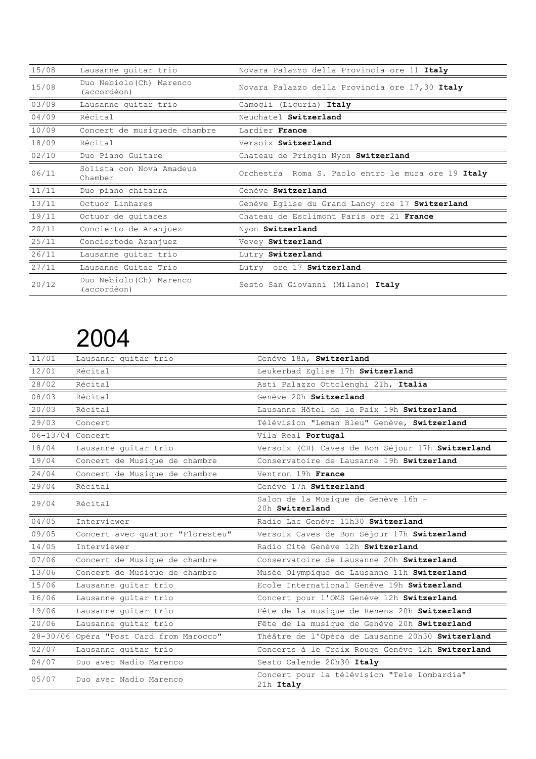| 15/08 | Lausanne quitar trio                    | Novara Palazzo della Provincia ore 11 Italy        |
|-------|-----------------------------------------|----------------------------------------------------|
| 15/08 | Duo Nebiolo (Ch) Marenco<br>(accordéon) | Novara Palazzo della Provincia ore 17,30 Italy     |
| 03/09 | Lausanne quitar trio                    | Camogli (Liguria) Italy                            |
| 04/09 | Récital                                 | Neuchatel Switzerland                              |
| 10/09 | Concert de musiquede chambre            | Lardier France                                     |
| 18/09 | Récital                                 | Versoix Switzerland                                |
| 02/10 | Duo Piano Guitare                       | Chateau de Pringin Nyon Switzerland                |
| 06/11 | Solista con Nova Amadeus<br>Chamber     | Orchestra Roma S. Paolo entro le mura ore 19 Italy |
| 11/11 | Duo piano chitarra                      | Genève Switzerland                                 |
| 13/11 | Octuor Linhares                         | Genève Eglise du Grand Lancy ore 17 Switzerland    |
| 19/11 | Octuor de quitares                      | Chateau de Esclimont Paris ore 21 France           |
| 20/11 | Concierto de Aranjuez                   | Nyon Switzerland                                   |
| 25/11 | Conciertode Aranjuez                    | Vevey Switzerland                                  |
| 26/11 | Lausanne guitar trio                    | Lutry Switzerland                                  |
| 27/11 | Lausanne Guitar Trio                    | Lutry ore 17 Switzerland                           |
| 20/12 | Duo Nebiolo (Ch) Marenco<br>(accordéon) | Sesto San Giovanni (Milano) Italy                  |

| 11/01            | Lausanne quitar trio                    | Genève 18h, Switzerland                                  |
|------------------|-----------------------------------------|----------------------------------------------------------|
| 12/01            | Récital                                 | Leukerbad Eglise 17h Switzerland                         |
| 28/02            | Récital                                 | Asti Palazzo Ottolenghi 21h, Italia                      |
| 08/03            | Récital                                 | Genève 20h Switzerland                                   |
| 20/03            | Récital                                 | Lausanne Hôtel de le Paix 19h Switzerland                |
| 29/03            | Concert                                 | Télévision "Leman Bleu" Genève, Switzerland              |
| 06-13/04 Concert |                                         | Vila Real Portugal                                       |
| 18/04            | Lausanne quitar trio                    | Versoix (CH) Caves de Bon Séjour 17h Switzerland         |
| 19/04            | Concert de Musique de chambre           | Conservatoire de Lausanne 19h Switzerland                |
| 24/04            | Concert de Musique de chambre           | Ventron 19h France                                       |
| 29/04            | Récital                                 | Genève 17h Switzerland                                   |
| 29/04            | Récital                                 | Salon de la Musique de Genève 16h -<br>20h Switzerland   |
| 04/05            | Interviewer                             | Radio Lac Genève 11h30 Switzerland                       |
| 09/05            | Concert avec quatuor "Floresteu"        | Versoix Caves de Bon Séjour 17h Switzerland              |
| 14/05            | Interviewer                             | Radio Cité Genève 12h Switzerland                        |
| 07/06            | Concert de Musique de chambre           | Conservatoire de Lausanne 20h Switzerland                |
| 13/06            | Concert de Musique de chambre           | Musée Olympique de Lausanne 11h Switzerland              |
| 15/06            | Lausanne guitar trio                    | Ecole International Genève 19h Switzerland               |
| 16/06            | Lausanne guitar trio                    | Concert pour l'OMS Genève 12h Switzerland                |
| 19/06            | Lausanne quitar trio                    | Fête de la musique de Renens 20h Switzerland             |
| 20/06            | Lausanne quitar trio                    | Fête de la musique de Genève 20h Switzerland             |
|                  | 28-30/06 Opéra "Post Card from Marocco" | Théâtre de l'Opéra de Lausanne 20h30 Switzerland         |
| 02/07            | Lausanne guitar trio                    | Concerts à le Croix Rouge Genève 12h Switzerland         |
| 04/07            | Duo avec Nadio Marenco                  | Sesto Calende 20h30 Italy                                |
| 05/07            | Duo avec Nadio Marenco                  | Concert pour la télévision "Tele Lombardia"<br>21h Italy |